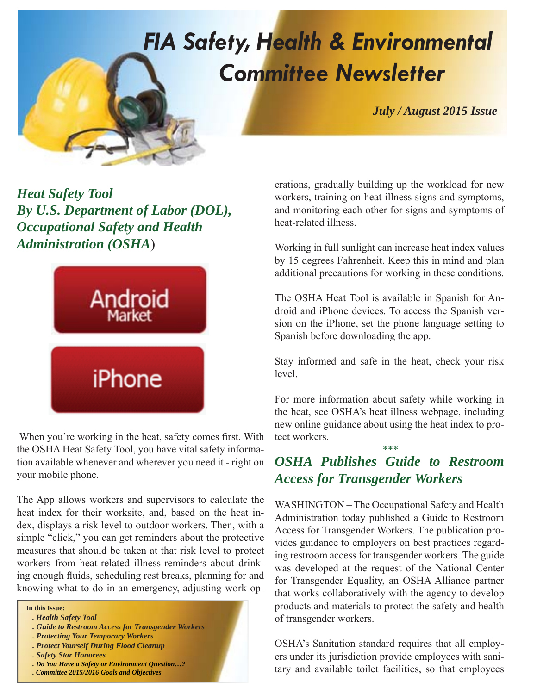# *FIA Safety, Health & Environmental Committee Newsletter*

*July / August 2015 Issue*

*Heat Safety Tool By U.S. Department of Labor (DOL), Occupational Safety and Health Administration (OSHA*)



When you're working in the heat, safety comes first. With the OSHA Heat Safety Tool, you have vital safety information available whenever and wherever you need it - right on your mobile phone.

The App allows workers and supervisors to calculate the heat index for their worksite, and, based on the heat index, displays a risk level to outdoor workers. Then, with a simple "click," you can get reminders about the protective measures that should be taken at that risk level to protect workers from heat-related illness-reminders about drinking enough fluids, scheduling rest breaks, planning for and knowing what to do in an emergency, adjusting work op-

**In this Issue:**

- *. Health Safety Tool*
- *. Guide to Restroom Access for Transgender Workers*
- *. Protecting Your Temporary Workers*
- *. Protect Yourself During Flood Cleanup*
- *. Safety Star Honorees*
- *. Do You Have a Safety or Environment Question…?*
- *. Committee 2015/2016 Goals and Objectives*

erations, gradually building up the workload for new workers, training on heat illness signs and symptoms, and monitoring each other for signs and symptoms of heat-related illness.

Working in full sunlight can increase heat index values by 15 degrees Fahrenheit. Keep this in mind and plan additional precautions for working in these conditions.

The OSHA Heat Tool is available in Spanish for Android and iPhone devices. To access the Spanish version on the iPhone, set the phone language setting to Spanish before downloading the app.

Stay informed and safe in the heat, check your risk level.

For more information about safety while working in the heat, see OSHA's heat illness webpage, including new online guidance about using the heat index to protect workers.

\*\*\*

## *OSHA Publishes Guide to Restroom Access for Transgender Workers*

WASHINGTON – The Occupational Safety and Health Administration today published a Guide to Restroom Access for Transgender Workers. The publication provides guidance to employers on best practices regarding restroom access for transgender workers. The guide was developed at the request of the National Center for Transgender Equality, an OSHA Alliance partner that works collaboratively with the agency to develop products and materials to protect the safety and health of transgender workers.

OSHA's Sanitation standard requires that all employers under its jurisdiction provide employees with sanitary and available toilet facilities, so that employees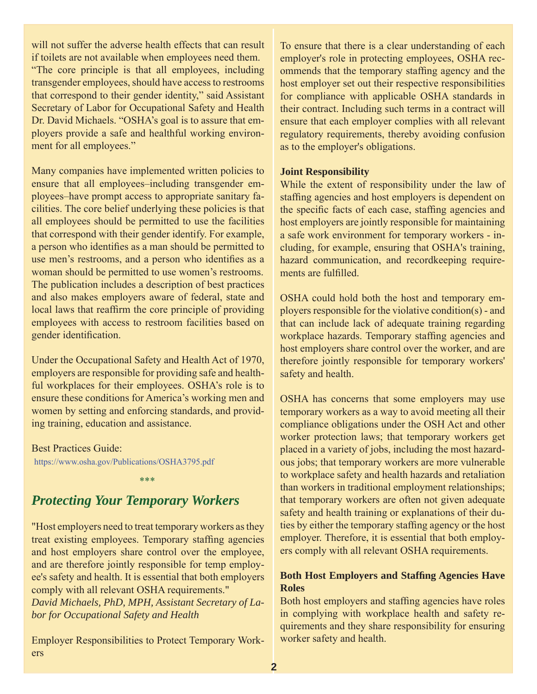will not suffer the adverse health effects that can result if toilets are not available when employees need them. "The core principle is that all employees, including transgender employees, should have access to restrooms that correspond to their gender identity," said Assistant Secretary of Labor for Occupational Safety and Health Dr. David Michaels. "OSHA's goal is to assure that employers provide a safe and healthful working environment for all employees."

Many companies have implemented written policies to ensure that all employees–including transgender employees–have prompt access to appropriate sanitary facilities. The core belief underlying these policies is that all employees should be permitted to use the facilities that correspond with their gender identify. For example, a person who identifies as a man should be permitted to use men's restrooms, and a person who identifies as a woman should be permitted to use women's restrooms. The publication includes a description of best practices and also makes employers aware of federal, state and local laws that reaffirm the core principle of providing employees with access to restroom facilities based on gender identification.

Under the Occupational Safety and Health Act of 1970, employers are responsible for providing safe and healthful workplaces for their employees. OSHA's role is to ensure these conditions for America's working men and women by setting and enforcing standards, and providing training, education and assistance.

Best Practices Guide: https://www.osha.gov/Publications/OSHA3795.pdf

\*\*\*

# *Protecting Your Temporary Workers*

"Host employers need to treat temporary workers as they treat existing employees. Temporary staffing agencies and host employers share control over the employee, and are therefore jointly responsible for temp employee's safety and health. It is essential that both employers comply with all relevant OSHA requirements." *David Michaels, PhD, MPH, Assistant Secretary of Labor for Occupational Safety and Health*

Employer Responsibilities to Protect Temporary Workers

To ensure that there is a clear understanding of each employer's role in protecting employees, OSHA recommends that the temporary staffing agency and the host employer set out their respective responsibilities for compliance with applicable OSHA standards in their contract. Including such terms in a contract will ensure that each employer complies with all relevant regulatory requirements, thereby avoiding confusion as to the employer's obligations.

#### **Joint Responsibility**

While the extent of responsibility under the law of staffing agencies and host employers is dependent on the specific facts of each case, staffing agencies and host employers are jointly responsible for maintaining a safe work environment for temporary workers - including, for example, ensuring that OSHA's training, hazard communication, and recordkeeping requirements are fulfilled.

OSHA could hold both the host and temporary employers responsible for the violative condition(s) - and that can include lack of adequate training regarding workplace hazards. Temporary staffing agencies and host employers share control over the worker, and are therefore jointly responsible for temporary workers' safety and health.

OSHA has concerns that some employers may use temporary workers as a way to avoid meeting all their compliance obligations under the OSH Act and other worker protection laws; that temporary workers get placed in a variety of jobs, including the most hazardous jobs; that temporary workers are more vulnerable to workplace safety and health hazards and retaliation than workers in traditional employment relationships; that temporary workers are often not given adequate safety and health training or explanations of their duties by either the temporary staffing agency or the host employer. Therefore, it is essential that both employers comply with all relevant OSHA requirements.

#### Both Host Employers and Staffing Agencies Have **Roles**

Both host employers and staffing agencies have roles in complying with workplace health and safety requirements and they share responsibility for ensuring worker safety and health.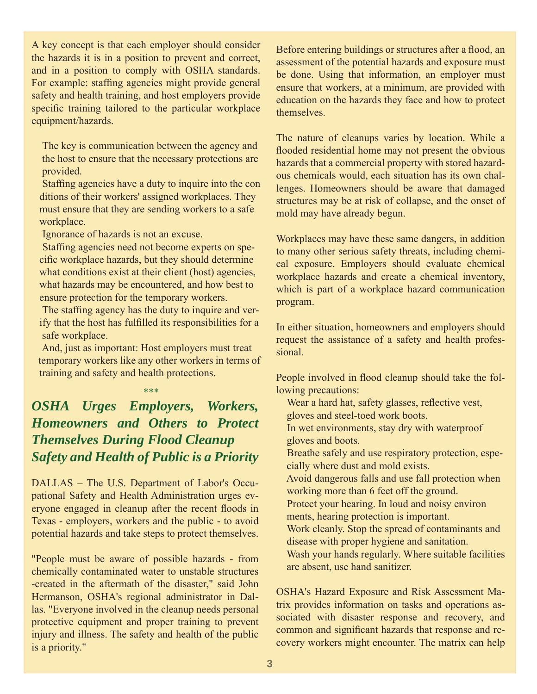A key concept is that each employer should consider the hazards it is in a position to prevent and correct, and in a position to comply with OSHA standards. For example: staffing agencies might provide general safety and health training, and host employers provide specific training tailored to the particular workplace equipment/hazards.

 The key is communication between the agency and the host to ensure that the necessary protections are provided.

Staffing agencies have a duty to inquire into the con ditions of their workers' assigned workplaces. They must ensure that they are sending workers to a safe workplace.

Ignorance of hazards is not an excuse.

Staffing agencies need not become experts on specific workplace hazards, but they should determine what conditions exist at their client (host) agencies, what hazards may be encountered, and how best to ensure protection for the temporary workers.

The staffing agency has the duty to inquire and verify that the host has fulfilled its responsibilities for a safe workplace.

 And, just as important: Host employers must treat temporary workers like any other workers in terms of training and safety and health protections.

\*\*\*

## *OSHA Urges Employers, Workers, Homeowners and Others to Protect Themselves During Flood Cleanup Safety and Health of Public is a Priority*

DALLAS – The U.S. Department of Labor's Occupational Safety and Health Administration urges everyone engaged in cleanup after the recent floods in Texas - employers, workers and the public - to avoid potential hazards and take steps to protect themselves.

"People must be aware of possible hazards - from chemically contaminated water to unstable structures -created in the aftermath of the disaster," said John Hermanson, OSHA's regional administrator in Dallas. "Everyone involved in the cleanup needs personal protective equipment and proper training to prevent injury and illness. The safety and health of the public is a priority."

Before entering buildings or structures after a flood, an assessment of the potential hazards and exposure must be done. Using that information, an employer must ensure that workers, at a minimum, are provided with education on the hazards they face and how to protect themselves.

The nature of cleanups varies by location. While a flooded residential home may not present the obvious hazards that a commercial property with stored hazardous chemicals would, each situation has its own challenges. Homeowners should be aware that damaged structures may be at risk of collapse, and the onset of mold may have already begun.

Workplaces may have these same dangers, in addition to many other serious safety threats, including chemical exposure. Employers should evaluate chemical workplace hazards and create a chemical inventory, which is part of a workplace hazard communication program.

In either situation, homeowners and employers should request the assistance of a safety and health professional.

People involved in flood cleanup should take the following precautions:

Wear a hard hat, safety glasses, reflective vest, gloves and steel-toed work boots.

 In wet environments, stay dry with waterproof gloves and boots.

 Breathe safely and use respiratory protection, espe cially where dust and mold exists.

 Avoid dangerous falls and use fall protection when working more than 6 feet off the ground.

 Protect your hearing. In loud and noisy environ ments, hearing protection is important.

 Work cleanly. Stop the spread of contaminants and disease with proper hygiene and sanitation.

 Wash your hands regularly. Where suitable facilities are absent, use hand sanitizer.

OSHA's Hazard Exposure and Risk Assessment Matrix provides information on tasks and operations associated with disaster response and recovery, and common and significant hazards that response and recovery workers might encounter. The matrix can help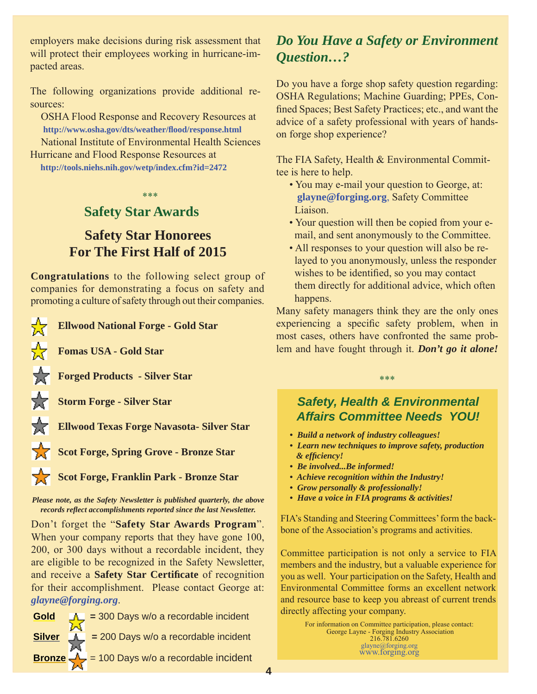employers make decisions during risk assessment that will protect their employees working in hurricane-impacted areas.

The following organizations provide additional resources:

 OSHA Flood Response and Recovery Resources at **http://www.osha.gov/dts/weather/fl ood/response.html** National Institute of Environmental Health Sciences Hurricane and Flood Response Resources at

**http://tools.niehs.nih.gov/wetp/index.cfm?id=2472**

## **Safety Star Awards**

## **Safety Star Honorees For The First Half of 2015**

\*\*\*

**Congratulations** to the following select group of companies for demonstrating a focus on safety and promoting a culture of safety through out their companies.

**Ellwood National Forge - Gold Star**

**Fomas USA - Gold Star**

₩

₩

₩

ਇ

**Forged Products - Silver Star**

**Storm Forge - Silver Star**

**Ellwood Texas Forge Navasota- Silver Star**

Scot Forge, Spring Grove - Bronze Star

Scot Forge, Franklin Park - Bronze Star

*Please note, as the Safety Newsletter is published quarterly, the above records refl ect accomplishments reported since the last Newsletter.*

Don't forget the "**Safety Star Awards Program**". When your company reports that they have gone 100, 200, or 300 days without a recordable incident, they are eligible to be recognized in the Safety Newsletter, and receive a **Safety Star Certifi cate** of recognition for their accomplishment. Please contact George at: *glayne@forging.org*.

**Gold =** 300 Days w/o a recordable incident **Silver =** 200 Days w/o a recordable incident **Bronze** = 100 Days w/o a recordable incident

## *Do You Have a Safety or Environment Question…?*

Do you have a forge shop safety question regarding: OSHA Regulations; Machine Guarding; PPEs, Confined Spaces; Best Safety Practices; etc., and want the advice of a safety professional with years of handson forge shop experience?

The FIA Safety, Health & Environmental Committee is here to help.

- You may e-mail your question to George, at: **glayne@forging.org**, Safety Committee Liaison.
- Your question will then be copied from your e mail, and sent anonymously to the Committee.
- All responses to your question will also be re layed to you anonymously, unless the responder wishes to be identified, so you may contact them directly for additional advice, which often happens.

Many safety managers think they are the only ones experiencing a specific safety problem, when in most cases, others have confronted the same problem and have fought through it. *Don't go it alone!*

### *Safety, Health & Environmental Affairs Committee Needs YOU!*

\*\*\*

- *Build a network of industry colleagues!*
- *Learn new techniques to improve safety, production & effi ciency!*
- *Be involved...Be informed!*
- *Achieve recognition within the Industry!*
- *Grow personally & professionally!*
- *Have a voice in FIA programs & activities!*

FIA's Standing and Steering Committees' form the backbone of the Association's programs and activities.

Committee participation is not only a service to FIA members and the industry, but a valuable experience for you as well. Your participation on the Safety, Health and Environmental Committee forms an excellent network and resource base to keep you abreast of current trends directly affecting your company.

> For information on Committee participation, please contact: George Layne - Forging Industry Association 216.781.6260 glayne@forging.org www.forging.org

**4**